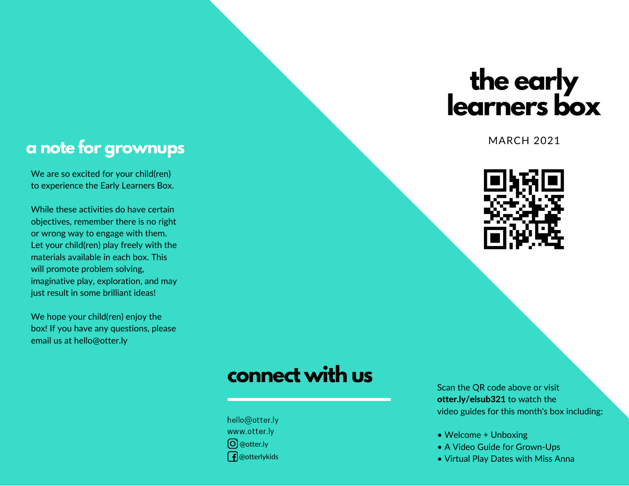# **the early learners box**

MARCH 2021



#### **a note for grownups**

We are so excited for your child(ren) to experience the Early Learners Box.

While these activities do have certain objectives, remember there is no right or wrong way to engage with them. Let your child(ren) play freely with the materials available in each box. This will promote problem solving, imaginative play, exploration, and may just result in some brilliant ideas!

We hope your child(ren) enjoy the box! If you have any questions, please email us at hello@otter.ly

## **connect with us**

hello@otter.ly www.otter.ly @otter.ly  $\int$  @otterlykids

Scan the QR code above or visit otter.ly/elsub321 to watch the video guides for this month's box including:

- Welcome + Unboxing
- A Video Guide for Grown-Ups
- Virtual Play Dates with Miss Anna